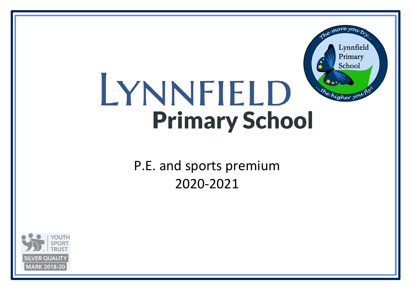## Lynnfield Primary School LYNNFIELD "The higher you h **Primary School**

more your

P.E. and sports premium 2020-2021

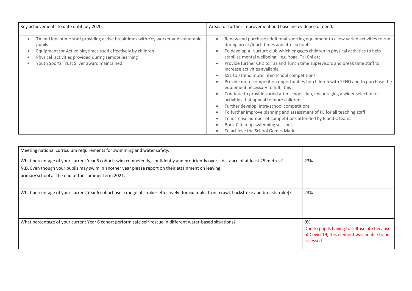| Key achievements to date until July 2020:<br>Areas for further improvement and baseline evidence of need:                                                                                                                                                                                                                                                                                                                                                                                                                                                                                                                                                                                                                                                                                                                                                                                                                                                                                                                                                                                                                                                                                                                                                                                                                    |
|------------------------------------------------------------------------------------------------------------------------------------------------------------------------------------------------------------------------------------------------------------------------------------------------------------------------------------------------------------------------------------------------------------------------------------------------------------------------------------------------------------------------------------------------------------------------------------------------------------------------------------------------------------------------------------------------------------------------------------------------------------------------------------------------------------------------------------------------------------------------------------------------------------------------------------------------------------------------------------------------------------------------------------------------------------------------------------------------------------------------------------------------------------------------------------------------------------------------------------------------------------------------------------------------------------------------------|
| TA and lunchtime staff providing active breaktimes with Key worker and vulnerable<br>Renew and purchase additional sporting equipment to allow varied activities to run<br>$\bullet$<br>during break/lunch times and after school<br>pupils<br>To develop a Nurture club which engages children in physical activities to help<br>Equipment for Active playtimes used effectively by children<br>$\bullet$<br>stabilise mental wellbeing - eg, Yoga, Tai Chi etc<br>Physical activities provided during remote learning<br>Provide further CPD to Tas and lunch time supervisors and break time staff to<br>Youth Sports Trust Silver award maintained<br>$\bullet$<br>increase activities available<br>KS1 to attend more inter-school competitions<br>٠<br>Provide more competition opportunities for children with SEND and to purchase the<br>٠<br>equipment necessary to fulfil this<br>Continue to provide varied after school club, encouraging a wider selection of<br>$\bullet$<br>activities that appeal to more children<br>Further develop intra-school competitions<br>$\bullet$<br>To further improve planning and assessment of PE for all teaching staff<br>$\bullet$<br>To increase number of competitions attended by B and C teams<br>Book Catch-up swimming sessions<br>To achieve the School Games Mark |

| Meeting national curriculum requirements for swimming and water safety.                                                                                                                                                                                                                         |                                                                                                              |
|-------------------------------------------------------------------------------------------------------------------------------------------------------------------------------------------------------------------------------------------------------------------------------------------------|--------------------------------------------------------------------------------------------------------------|
| What percentage of your current Year 6 cohort swim competently, confidently and proficiently over a distance of at least 25 metres?<br>N.B. Even though your pupils may swim in another year please report on their attainment on leaving<br>primary school at the end of the summer term 2021. | 23%                                                                                                          |
| What percentage of your current Year 6 cohort use a range of strokes effectively [for example, front crawl, backstroke and breaststroke]?                                                                                                                                                       | 23%                                                                                                          |
| What percentage of your current Year 6 cohort perform safe self-rescue in different water-based situations?                                                                                                                                                                                     | 0%<br>Due to pupils having to self-isolate because<br>of Covid-19, this element was unable to be<br>assessed |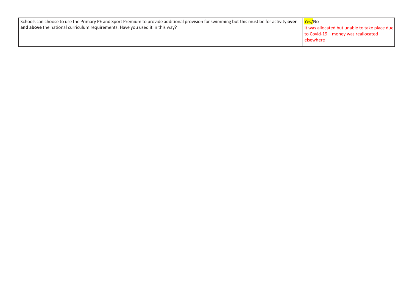| Schools can choose to use the Primary PE and Sport Premium to provide additional provision for swimming but this must be for activity over | Yes/No                                        |
|--------------------------------------------------------------------------------------------------------------------------------------------|-----------------------------------------------|
| and above the national curriculum requirements. Have you used it in this way?                                                              | It was allocated but unable to take place due |
|                                                                                                                                            | $\vert$ to Covid-19 – money was reallocated   |
|                                                                                                                                            | elsewhere                                     |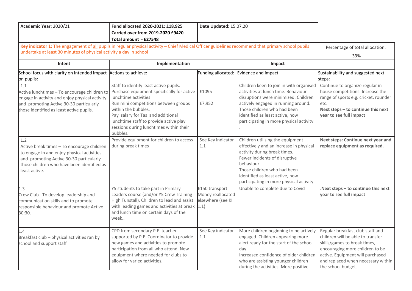| Academic Year: 2020/21                                                                                                                                                                                    | Fund allocated 2020-2021: £18,925<br>Carried over from 2019-2020 £9420<br>Total amount - £27548                                                                                                                                                                                                                   | Date Updated: 15.07.20                                   |                                                                                                                                                                                                                                                                             |                                                                                                                                                                                                                                          |
|-----------------------------------------------------------------------------------------------------------------------------------------------------------------------------------------------------------|-------------------------------------------------------------------------------------------------------------------------------------------------------------------------------------------------------------------------------------------------------------------------------------------------------------------|----------------------------------------------------------|-----------------------------------------------------------------------------------------------------------------------------------------------------------------------------------------------------------------------------------------------------------------------------|------------------------------------------------------------------------------------------------------------------------------------------------------------------------------------------------------------------------------------------|
| Key indicator 1: The engagement of all pupils in regular physical activity - Chief Medical Officer guidelines recommend that primary school pupils                                                        | Percentage of total allocation:                                                                                                                                                                                                                                                                                   |                                                          |                                                                                                                                                                                                                                                                             |                                                                                                                                                                                                                                          |
| undertake at least 30 minutes of physical activity a day in school                                                                                                                                        |                                                                                                                                                                                                                                                                                                                   |                                                          |                                                                                                                                                                                                                                                                             | 33%                                                                                                                                                                                                                                      |
| Intent                                                                                                                                                                                                    | Implementation                                                                                                                                                                                                                                                                                                    |                                                          | Impact                                                                                                                                                                                                                                                                      |                                                                                                                                                                                                                                          |
| School focus with clarity on intended impact Actions to achieve:<br>on pupils:                                                                                                                            |                                                                                                                                                                                                                                                                                                                   | Funding allocated:                                       | Evidence and impact:                                                                                                                                                                                                                                                        | Sustainability and suggested next<br>steps:                                                                                                                                                                                              |
| 1.1<br>Active lunchtimes - To encourage children to<br>engage in activity and enjoy physical activity<br>and promoting Active 30-30 particularly<br>those identified as least active pupils.              | Staff to identify least active pupils.<br>Purchase equipment specifically for active<br>lunchtime activities<br>Run mini competitions between groups<br>within the bubbles.<br>Pay salary for Tas and additional<br>lunchtime staff to provide active play<br>sessions during lunchtimes within their<br>bubbles. | £1095<br>£7,952                                          | Children keen to join in with organised<br>activities at lunch time. Behaviour<br>disruptions were minimized. Children<br>actively engaged in running around.<br>Those children who had been<br>identified as least active, now<br>participating in more physical activity. | Continue to organize regular in<br>house competitions. Increase the<br>range of sports e.g. cricket, rounder<br>etc.<br>Next steps - to continue this next<br>year to see full impact                                                    |
| 1.2<br>Active break times - To encourage children<br>to engage in and enjoy physical activities<br>and promoting Active 30-30 particularly<br>those children who have been identified as<br>least active. | Provide equipment for children to access<br>during break times                                                                                                                                                                                                                                                    | See Key indicator<br>1.1                                 | Children utilising the equipment<br>effectively and an increase in physical<br>activity during break times.<br>Fewer incidents of disruptive<br>behaviour.<br>Those children who had been<br>identified as least active, now<br>participating in more physical activity.    | Next steps: Continue next year and<br>replace equipment as required.                                                                                                                                                                     |
| 1.3<br>Crew Club-To develop leadership and<br>communication skills and to promote<br>responsible behaviour and promote Active<br>30:30.                                                                   | Y5 students to take part in Primary<br>Leaders course (and/or Y5 Crew Training -<br>High Tunstall). Children to lead and assist<br>with leading games and activities at break 1.1)<br>and lunch time on certain days of the<br>week                                                                               | £150 transport<br>Money reallocated<br>elsewhere (see KI | Unable to complete due to Covid                                                                                                                                                                                                                                             | Next steps - to continue this next<br>year to see full impact                                                                                                                                                                            |
| 1.4<br>Breakfast club - physical activities ran by<br>school and support staff                                                                                                                            | CPD from secondary P.E. teacher<br>supported by P.E. Coordinator to provide<br>new games and activities to promote<br>participation from all who attend. New<br>equipment where needed for clubs to<br>allow for varied activities.                                                                               | See Key indicator<br>1.1                                 | More children beginning to be actively<br>engaged. Children appearing more<br>alert ready for the start of the school<br>dav.<br>Increased confidence of older children<br>who are assisting younger children<br>during the activities. More positive                       | Regular breakfast club staff and<br>children will be able to transfer<br>skills/games to break times,<br>encouraging more children to be<br>active. Equipment will purchased<br>and replaced when necessary within<br>the school budget. |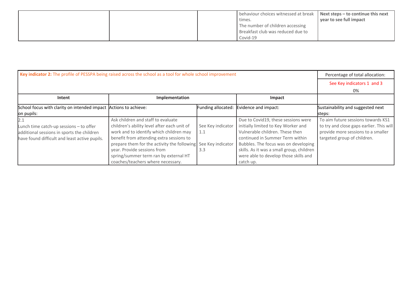|  | behaviour choices witnessed at break   Next steps - to continue this next |                         |
|--|---------------------------------------------------------------------------|-------------------------|
|  | times.                                                                    | year to see full impact |
|  | The number of children accessing                                          |                         |
|  | Breakfast club was reduced due to                                         |                         |
|  | Covid-19                                                                  |                         |

| Key indicator 2: The profile of PESSPA being raised across the school as a tool for whole school improvement |                                             |                   |                                           | Percentage of total allocation:          |  |  |
|--------------------------------------------------------------------------------------------------------------|---------------------------------------------|-------------------|-------------------------------------------|------------------------------------------|--|--|
|                                                                                                              |                                             |                   |                                           |                                          |  |  |
|                                                                                                              |                                             |                   |                                           |                                          |  |  |
| Intent                                                                                                       |                                             |                   |                                           |                                          |  |  |
| School focus with clarity on intended impact Actions to achieve:                                             |                                             |                   | Funding allocated: Evidence and impact:   | Sustainability and suggested next        |  |  |
| on pupils:                                                                                                   |                                             |                   |                                           | steps:                                   |  |  |
| 2.1                                                                                                          | Ask children and staff to evaluate          |                   | Due to Covid19, these sessions were       | To aim future sessions towards KS1       |  |  |
| Lunch time catch-up sessions - to offer                                                                      | children's ability level after each unit of | See Key indicator | initially limited to Key Worker and       | to try and close gaps earlier. This will |  |  |
| additional sessions in sports the children                                                                   | work and to identify which children may     | 1.1               | Vulnerable children. These then           | provide more sessions to a smaller       |  |  |
| have found difficult and least active pupils.                                                                | benefit from attending extra sessions to    |                   | continued in Summer Term within           | targeted group of children.              |  |  |
|                                                                                                              | prepare them for the activity the following | See Key indicator | Bubbles. The focus was on developing      |                                          |  |  |
|                                                                                                              | year. Provide sessions from                 | 3.3               | skills. As it was a small group, children |                                          |  |  |
|                                                                                                              | spring/summer term ran by external HT       |                   | were able to develop those skills and     |                                          |  |  |
|                                                                                                              | coaches/teachers where necessary.           |                   | catch up.                                 |                                          |  |  |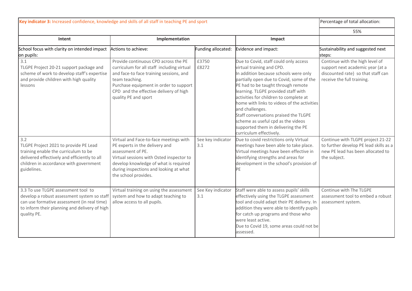| Key indicator 3: Increased confidence, knowledge and skills of all staff in teaching PE and sport                                                                                                 |                                                                                                                                                                                                                                                             |                          |                                                                                                                                                                                                                                                                                                                                                                                                                                                                                                   | Percentage of total allocation:                                                                                                         |
|---------------------------------------------------------------------------------------------------------------------------------------------------------------------------------------------------|-------------------------------------------------------------------------------------------------------------------------------------------------------------------------------------------------------------------------------------------------------------|--------------------------|---------------------------------------------------------------------------------------------------------------------------------------------------------------------------------------------------------------------------------------------------------------------------------------------------------------------------------------------------------------------------------------------------------------------------------------------------------------------------------------------------|-----------------------------------------------------------------------------------------------------------------------------------------|
|                                                                                                                                                                                                   |                                                                                                                                                                                                                                                             |                          |                                                                                                                                                                                                                                                                                                                                                                                                                                                                                                   | 55%                                                                                                                                     |
| Intent                                                                                                                                                                                            | Implementation                                                                                                                                                                                                                                              |                          | Impact                                                                                                                                                                                                                                                                                                                                                                                                                                                                                            |                                                                                                                                         |
| School focus with clarity on intended impact<br>on pupils:                                                                                                                                        | Actions to achieve:                                                                                                                                                                                                                                         | Funding allocated:       | Evidence and impact:                                                                                                                                                                                                                                                                                                                                                                                                                                                                              | Sustainability and suggested next<br>steps:                                                                                             |
| 3.1<br>TLGPE Project 20-21 support package and<br>scheme of work to develop staff's expertise<br>and provide children with high quality<br>lessons                                                | Provide continuous CPD across the PE<br>curriculum for all staff including virtual<br>and face-to face training sessions, and<br>team teaching.<br>Purchase equipment in order to support<br>CPD and the effective delivery of high<br>quality PE and sport | £3750<br>£8272           | Due to Covid, staff could only access<br>virtual training and CPD.<br>In addition because schools were only<br>partially open due to Covid, some of the<br>PE had to be taught through remote<br>learning. TLGPE provided staff with<br>activities for children to complete at<br>home with links to videos of the activities<br>and challenges.<br>Staff conversations praised the TLGPE<br>scheme as useful cpd as the videos<br>supported them in delivering the PE<br>curriculum effectively. | Continue with the high level of<br>support next academic year (at a<br>discounted rate) so that staff can<br>receive the full training. |
| 3.2<br>TLGPE Project 2021 to provide PE Lead<br>training enable the curriculum to be<br>delivered effectively and efficiently to all<br>children in accordance with government<br>guidelines.     | Virtual and Face-to-face meetings with<br>PE experts in the delivery and<br>assessment of PE.<br>Virtual sessions with Osted inspector to<br>develop knowledge of what is required<br>during inspections and looking at what<br>the school provides.        | See key indicator<br>3.1 | Due to covid restrictions only Virtual<br>meetings have been able to take place.<br>Virtual meetings have been effective in<br>identifying strengths and areas for<br>development in the school's provision of<br>PE                                                                                                                                                                                                                                                                              | Continue with TLGPE project 21-22<br>to further develop PE lead skills as a<br>new PE lead has been allocated to<br>the subject.        |
| 3.3 To use TLGPE assessment tool to<br>develop a robust assessment system so staff<br>can use formative assessment (in real time)<br>to inform their planning and delivery of high<br>quality PE. | Virtual training on using the assessment<br>system and how to adapt teaching to<br>allow access to all pupils.                                                                                                                                              | See Key indicator<br>3.1 | Staff were able to assess pupils' skills<br>effectively using the TLGPE assessment<br>tool and could adapt their PE delivery. In<br>addition they were able to identify pupils<br>for catch up programs and those who<br>were least active.<br>Due to Covid 19, some areas could not be<br>assessed.                                                                                                                                                                                              | Continue with The TLGPE<br>assessment tool to embed a robust<br>assessment system.                                                      |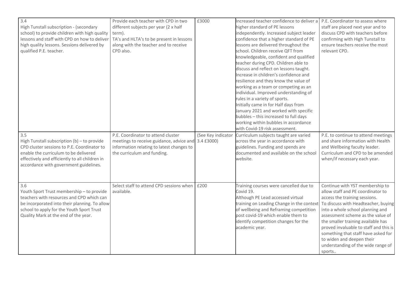| 3.4<br>High Tunstall subscription - (secondary<br>school) to provide children with high quality<br>lessons and staff with CPD on how to deliver<br>high quality lessons. Sessions delivered by<br>qualified P.E. teacher.              | Provide each teacher with CPD in two<br>different subjects per year (2 x half<br>term).<br>TA's and HLTA's to be present in lessons<br>along with the teacher and to receive<br>CPD also. | £3000              | Increased teacher confidence to deliver a<br>higher standard of PE lessons<br>independently. Increased subject leader<br>confidence that a higher standard of PE<br>lessons are delivered throughout the<br>school. Children receive QFT from<br>knowledgeable, confident and qualified<br>teacher during CPD. Children able to<br>discuss and reflect on lessons taught.<br>Increase in children's confidence and<br>resilience and they know the value of<br>working as a team or competing as an<br>individual. Improved understanding of<br>rules in a variety of sports.<br>Initially came in for Half days from<br>January 2021 and worked with specific<br>bubbles - this increased to full days<br>working within bubbles in accordance<br>with Covid-19 risk assessment. | P.E. Coordinator to assess where<br>staff are placed next year and to<br>discuss CPD with teachers before<br>confirming with High Tunstall to<br>ensure teachers receive the most<br>relevant CPD.                                                                                                                                                                                                                        |
|----------------------------------------------------------------------------------------------------------------------------------------------------------------------------------------------------------------------------------------|-------------------------------------------------------------------------------------------------------------------------------------------------------------------------------------------|--------------------|-----------------------------------------------------------------------------------------------------------------------------------------------------------------------------------------------------------------------------------------------------------------------------------------------------------------------------------------------------------------------------------------------------------------------------------------------------------------------------------------------------------------------------------------------------------------------------------------------------------------------------------------------------------------------------------------------------------------------------------------------------------------------------------|---------------------------------------------------------------------------------------------------------------------------------------------------------------------------------------------------------------------------------------------------------------------------------------------------------------------------------------------------------------------------------------------------------------------------|
| 3.5<br>High Tunstall subscription (b) - to provide<br>CPD cluster sessions to P.E. Coordinator to<br>enable the curriculum to be delivered<br>effectively and efficiently to all children in<br>accordance with government guidelines. | P.E. Coordinator to attend cluster<br>meetings to receive guidance, advice and 3.4 £3000)<br>information relating to latest changes to<br>the curriculum and funding.                     | (See Key indicator | Curriculum subjects taught are varied<br>across the year in accordance with<br>guidelines. Funding and spends are<br>documented and available on the school<br>website.                                                                                                                                                                                                                                                                                                                                                                                                                                                                                                                                                                                                           | P.E. to continue to attend meetings<br>and share information with Health<br>and Wellbeing faculty leader.<br>Curriculum and CPD to be amended<br>when/if necessary each year.                                                                                                                                                                                                                                             |
| 3.6<br>Youth Sport Trust membership - to provide<br>teachers with resources and CPD which can<br>be incorporated into their planning. To allow<br>school to apply for the Youth Sport Trust<br>Quality Mark at the end of the year.    | Select staff to attend CPD sessions when<br>available.                                                                                                                                    | £200               | Training courses were cancelled due to<br>Covid 19.<br>Although PE Lead accessed virtual<br>training on Leading Change in the context<br>of wellbeing and Reframing competition<br>post covid-19 which enable them to<br>identify competition changes for the<br>academic year.                                                                                                                                                                                                                                                                                                                                                                                                                                                                                                   | Continue with YST membership to<br>allow staff and PE coordinator to<br>access the training sessions.<br>To discuss with Headteacher, buying<br>into a whole school planning and<br>assessment scheme as the value of<br>the smaller training available has<br>proved invaluable to staff and this is<br>something that staff have asked for<br>to widen and deepen their<br>understanding of the wide range of<br>sports |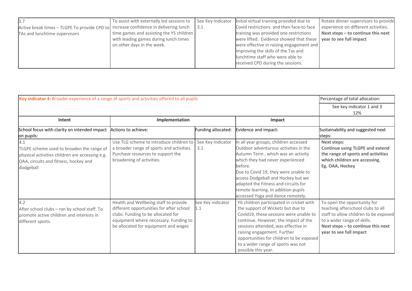| 3.7                                                                                  | To assist with externally led sessions to | See Key Indicator | Initial virtual training provided due to                                | Rotate dinner supervisors to provide |
|--------------------------------------------------------------------------------------|-------------------------------------------|-------------------|-------------------------------------------------------------------------|--------------------------------------|
| Active break times - TLGPE To provide CPD to increase confidence in delivering lunch |                                           | 3.1               | Covid restrictions and then face-to face                                | experience on different activities.  |
| TAs and lunchtime supervisors                                                        | time games and assisting the Y5 children  |                   | training was provided one restrictions                                  | Next steps - to continue this next   |
|                                                                                      | with leading games during lunch times     |                   | were lifted. Evidence showed that these $\vert$ year to see full impact |                                      |
|                                                                                      | on other days in the week.                |                   | were effective in raising engagement and                                |                                      |
|                                                                                      |                                           |                   | improving the skills of the Tas and                                     |                                      |
|                                                                                      |                                           |                   | lunchtime staff who were able to                                        |                                      |
|                                                                                      |                                           |                   | received CPD during the sessions.                                       |                                      |

| Key indicator 4: Broader experience of a range of sports and activities offered to all pupils                                                             | Percentage of total allocation:                                                                                                                                                                          |                          |                                                                                                                                                                                                                                                                                                                                                                       |                                                                                                                                                                                                           |
|-----------------------------------------------------------------------------------------------------------------------------------------------------------|----------------------------------------------------------------------------------------------------------------------------------------------------------------------------------------------------------|--------------------------|-----------------------------------------------------------------------------------------------------------------------------------------------------------------------------------------------------------------------------------------------------------------------------------------------------------------------------------------------------------------------|-----------------------------------------------------------------------------------------------------------------------------------------------------------------------------------------------------------|
|                                                                                                                                                           | See key indicator 1 and 3<br>12%                                                                                                                                                                         |                          |                                                                                                                                                                                                                                                                                                                                                                       |                                                                                                                                                                                                           |
| Intent                                                                                                                                                    | Implementation                                                                                                                                                                                           |                          | Impact                                                                                                                                                                                                                                                                                                                                                                |                                                                                                                                                                                                           |
| School focus with clarity on intended impact<br>on pupils:                                                                                                | Actions to achieve:                                                                                                                                                                                      | Funding allocated:       | Evidence and impact:                                                                                                                                                                                                                                                                                                                                                  | Sustainability and suggested next<br>steps:                                                                                                                                                               |
| 4.1<br>TLGPE scheme used to broaden the range of<br>physical activities children are accessing e.g.<br>OAA, circuits and fitness, hockey and<br>dodgeball | Use TLG scheme to introduce children to<br>a broader range of sports and activities.<br>Purchase resources to support the<br>broadening of activities.                                                   | See Key indicator<br>3.1 | In all year groups, children accessed<br>Outdoor adventurous activities in the<br>Autumn Term, which was an activity<br>which they had never experienced<br>before.<br>Due to Covid 19, they were unable to<br>access Dodgeball and Hockey but we<br>adapted the Fitness and circuits for<br>remote learning. In addition pupils<br>accessed Yoga and dance remotely. | <b>Next steps:</b><br><b>Continue using TLGPE and extend</b><br>the range of sports and activities<br>which children are accessing.<br>Eg. OAA, Hockey                                                    |
| 4.2<br>After school clubs - ran by school staff. To<br>promote active children and interests in<br>different sports.                                      | Health and Wellbeing staff to provide<br>different opportunities for after school<br>clubs. Funding to be allocated for<br>equipment where necessary. Funding to<br>be allocated for equipment and wages | See Key indicator<br>1.1 | Y6 children participated in cricket with<br>the support of Wicketz but due to<br>Covid19, these sessions were unable to<br>continue. However, the impact of the<br>sessions attended, was effective in<br>raising engagement. Further<br>opportunities for children to be exposed<br>to a wider range of sports was not<br>possible this year.                        | To open the opportunity for<br>teaching afterschool clubs to all<br>staff to allow children to be exposed<br>to a wider range of skills.<br>Next steps - to continue this next<br>year to see full impact |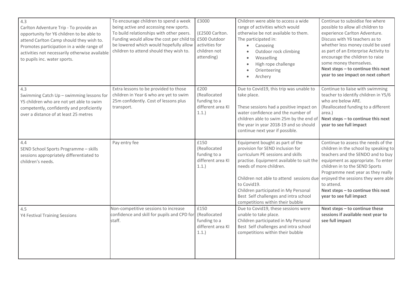| 4.3<br>Carlton Adventure Trip - To provide an<br>opportunity for Y6 children to be able to<br>attend Carlton Camp should they wish to.<br>Promotes participation in a wide range of<br>activities not necessarily otherwise available<br>to pupils inc. water sports. | To encourage children to spend a week<br>being active and accessing new sports.<br>To build relationships with other peers.<br>Funding would allow the cost per child to<br>be lowered which would hopefully allow<br>children to attend should they wish to. | £3000<br>(£2500 Carlton.<br>£500 Outdoor<br>activities for<br>children not<br>attending) | Children were able to access a wide<br>range of activities which would<br>otherwise be not available to them.<br>The participated in:<br>Canoeing<br>$\bullet$<br>Outdoor rock climbing<br>Weaselling<br>High rope challenge<br>Orienteering<br>Archery                                                                                                          | Continue to subsidise fee where<br>possible to allow all children to<br>experience Carlton Adventure.<br>Discuss with Y6 teachers as to<br>whether less money could be used<br>as part of an Enterprise Activity to<br>encourage the children to raise<br>some money themselves.<br>Next steps - to continue this next<br>year to see impact on next cohort |
|-----------------------------------------------------------------------------------------------------------------------------------------------------------------------------------------------------------------------------------------------------------------------|---------------------------------------------------------------------------------------------------------------------------------------------------------------------------------------------------------------------------------------------------------------|------------------------------------------------------------------------------------------|------------------------------------------------------------------------------------------------------------------------------------------------------------------------------------------------------------------------------------------------------------------------------------------------------------------------------------------------------------------|-------------------------------------------------------------------------------------------------------------------------------------------------------------------------------------------------------------------------------------------------------------------------------------------------------------------------------------------------------------|
| 4.3<br>Swimming Catch Up - swimming lessons for<br>Y5 children who are not yet able to swim<br>competently, confidently and proficiently<br>over a distance of at least 25 metres                                                                                     | Extra lessons to be provided to those<br>children in Year 6 who are yet to swim<br>25m confidently. Cost of lessons plus<br>transport.                                                                                                                        | £200<br>(Reallocated<br>funding to a<br>different area KI<br>1.1.                        | Due to Covid19, this trip was unable to<br>take place.<br>These sessions had a positive impact on<br>water confidence and the number of<br>children able to swim 25m by the end o<br>the year in year 2018-19 and so should<br>continue next year if possible.                                                                                                   | Continue to liaise with swimming<br>teacher to identify children in Y5/6<br>who are below ARE.<br>(Reallocated funding to a different<br>area.)<br>Next steps - to continue this next<br>year to see full impact                                                                                                                                            |
| 4.4<br>SEND School Sports Programme - skills<br>sessions appropriately differentiated to<br>children's needs.                                                                                                                                                         | Pay entry fee                                                                                                                                                                                                                                                 | £150<br>(Reallocated<br>funding to a<br>different area KI<br>1.1.                        | Equipment bought as part of the<br>provision for SEND inclusion for<br>curriculum PE sessions and skills<br>practise. Equipment available to suit the<br>needs of more children.<br>Children not able to attend sessions due<br>to Covid19.<br>Children participated in My Personal<br>Best Self challenges and intra school<br>competitions within their bubble | Continue to assess the needs of the<br>children in the school by speaking to<br>teachers and the SENDO and to buy<br>equipment as appropriate. To enter<br>children in to the SEND Sports<br>Programme next year as they really<br>enjoyed the sessions they were able<br>to attend.<br>Next steps - to continue this next<br>year to see full impact       |
| 4.5<br>Y4 Festival Training Sessions                                                                                                                                                                                                                                  | Non-competitive sessions to increase<br>confidence and skill for pupils and CPD for<br>staff.                                                                                                                                                                 | £150<br>(Reallocated<br>funding to a<br>different area KI<br>1.1.                        | Due to Covid19, these sessions were<br>unable to take place.<br>Children participated in My Personal<br>Best Self challenges and intra school<br>competitions within their bubble                                                                                                                                                                                | Next steps - to continue these<br>sessions if available next year to<br>see full impact                                                                                                                                                                                                                                                                     |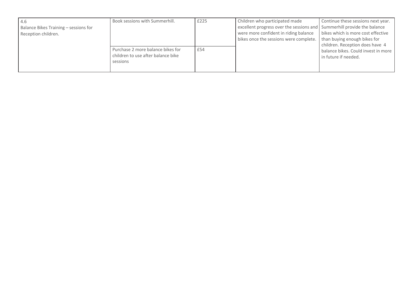| -4.6<br>Balance Bikes Training - sessions for<br>Reception children. | Book sessions with Summerhill.                                                      | £225 | Children who participated made<br>excellent progress over the sessions and Summerhill provide the balance<br>were more confident in riding balance<br>bikes once the sessions were complete. | Continue these sessions next year.<br>bikes which is more cost effective<br>than buying enough bikes for<br>children. Reception does have 4 |
|----------------------------------------------------------------------|-------------------------------------------------------------------------------------|------|----------------------------------------------------------------------------------------------------------------------------------------------------------------------------------------------|---------------------------------------------------------------------------------------------------------------------------------------------|
|                                                                      | Purchase 2 more balance bikes for<br>children to use after balance bike<br>sessions | £54  |                                                                                                                                                                                              | balance bikes. Could invest in more<br>in future if needed.                                                                                 |